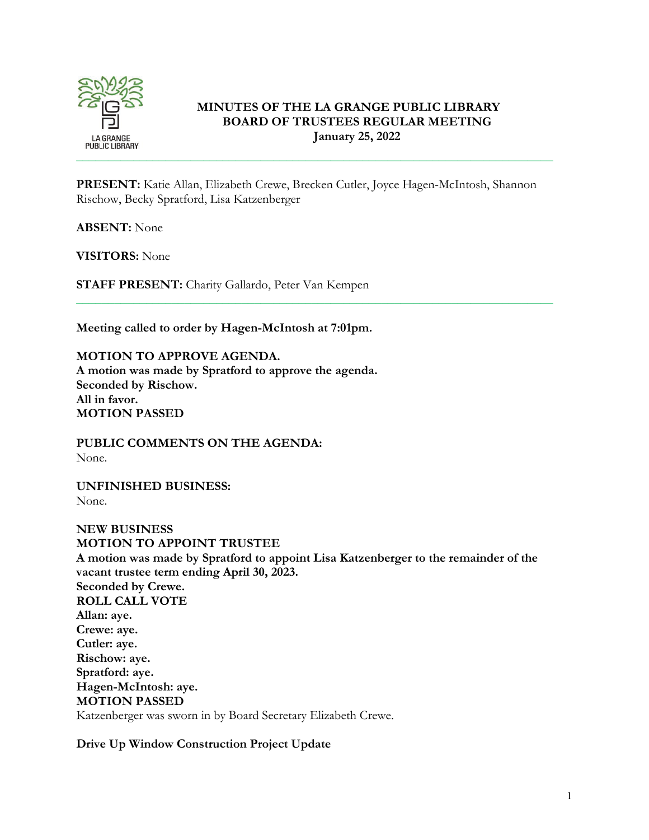

### **MINUTES OF THE LA GRANGE PUBLIC LIBRARY BOARD OF TRUSTEES REGULAR MEETING January 25, 2022**

**PRESENT:** Katie Allan, Elizabeth Crewe, Brecken Cutler, Joyce Hagen-McIntosh, Shannon Rischow, Becky Spratford, Lisa Katzenberger

\_\_\_\_\_\_\_\_\_\_\_\_\_\_\_\_\_\_\_\_\_\_\_\_\_\_\_\_\_\_\_\_\_\_\_\_\_\_\_\_\_\_\_\_\_\_\_\_\_\_\_\_\_\_\_\_\_\_\_\_\_\_\_\_\_\_\_\_\_\_\_\_\_\_\_

**ABSENT:** None

**VISITORS:** None

**STAFF PRESENT:** Charity Gallardo, Peter Van Kempen

**Meeting called to order by Hagen-McIntosh at 7:01pm.**

**MOTION TO APPROVE AGENDA. A motion was made by Spratford to approve the agenda. Seconded by Rischow. All in favor. MOTION PASSED**

**PUBLIC COMMENTS ON THE AGENDA:**  None.

**UNFINISHED BUSINESS:** None.

**NEW BUSINESS MOTION TO APPOINT TRUSTEE A motion was made by Spratford to appoint Lisa Katzenberger to the remainder of the vacant trustee term ending April 30, 2023. Seconded by Crewe. ROLL CALL VOTE Allan: aye. Crewe: aye. Cutler: aye. Rischow: aye. Spratford: aye. Hagen-McIntosh: aye. MOTION PASSED** Katzenberger was sworn in by Board Secretary Elizabeth Crewe.

**Drive Up Window Construction Project Update**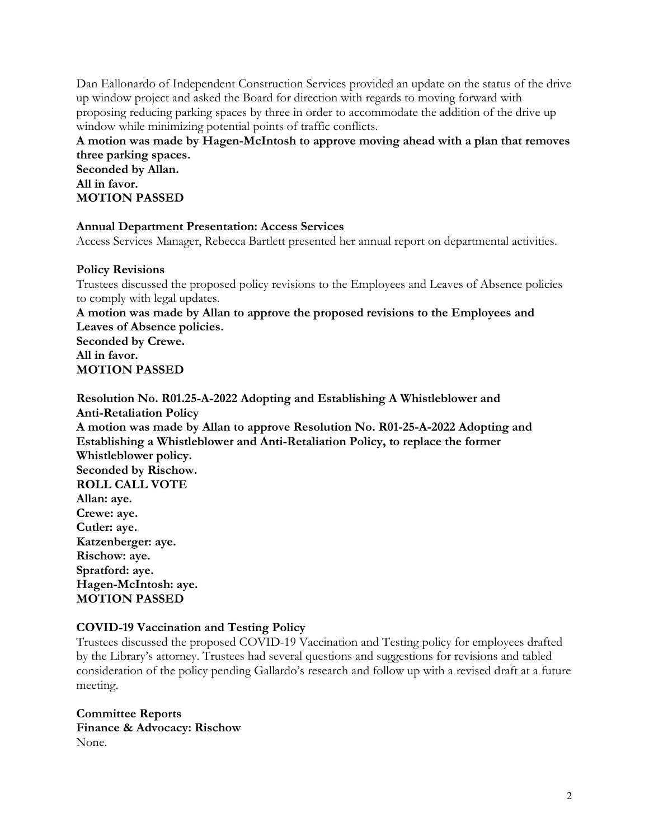Dan Eallonardo of Independent Construction Services provided an update on the status of the drive up window project and asked the Board for direction with regards to moving forward with proposing reducing parking spaces by three in order to accommodate the addition of the drive up window while minimizing potential points of traffic conflicts.

**A motion was made by Hagen-McIntosh to approve moving ahead with a plan that removes three parking spaces. Seconded by Allan.**

**All in favor. MOTION PASSED**

#### **Annual Department Presentation: Access Services**

Access Services Manager, Rebecca Bartlett presented her annual report on departmental activities.

#### **Policy Revisions**

Trustees discussed the proposed policy revisions to the Employees and Leaves of Absence policies to comply with legal updates.

**A motion was made by Allan to approve the proposed revisions to the Employees and Leaves of Absence policies. Seconded by Crewe. All in favor.**

**MOTION PASSED**

**Resolution No. R01.25-A-2022 Adopting and Establishing A Whistleblower and Anti-Retaliation Policy A motion was made by Allan to approve Resolution No. R01-25-A-2022 Adopting and Establishing a Whistleblower and Anti-Retaliation Policy, to replace the former Whistleblower policy. Seconded by Rischow. ROLL CALL VOTE Allan: aye. Crewe: aye. Cutler: aye. Katzenberger: aye. Rischow: aye. Spratford: aye. Hagen-McIntosh: aye. MOTION PASSED**

#### **COVID-19 Vaccination and Testing Policy**

Trustees discussed the proposed COVID-19 Vaccination and Testing policy for employees drafted by the Library's attorney. Trustees had several questions and suggestions for revisions and tabled consideration of the policy pending Gallardo's research and follow up with a revised draft at a future meeting.

**Committee Reports Finance & Advocacy: Rischow** None.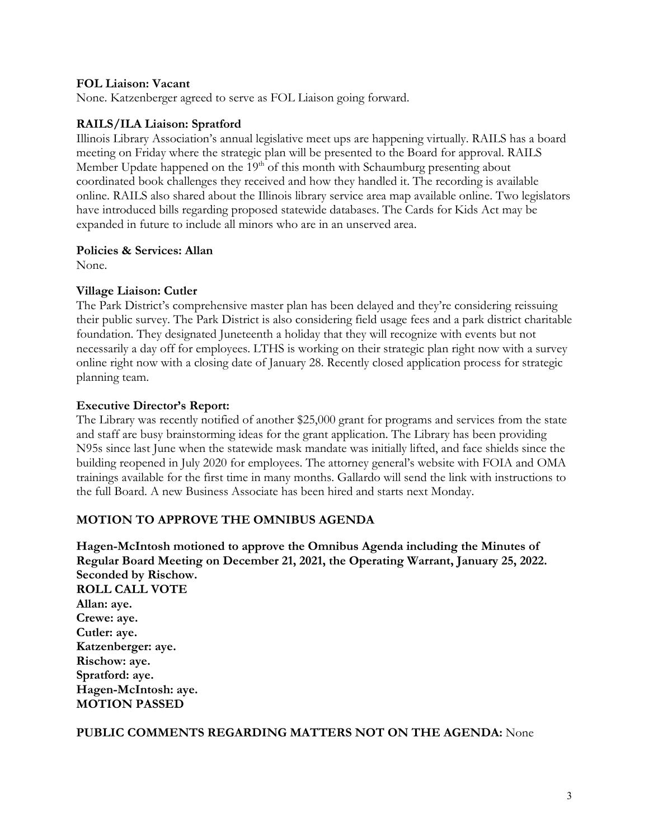#### **FOL Liaison: Vacant**

None. Katzenberger agreed to serve as FOL Liaison going forward.

#### **RAILS/ILA Liaison: Spratford**

Illinois Library Association's annual legislative meet ups are happening virtually. RAILS has a board meeting on Friday where the strategic plan will be presented to the Board for approval. RAILS Member Update happened on the 19<sup>th</sup> of this month with Schaumburg presenting about coordinated book challenges they received and how they handled it. The recording is available online. RAILS also shared about the Illinois library service area map available online. Two legislators have introduced bills regarding proposed statewide databases. The Cards for Kids Act may be expanded in future to include all minors who are in an unserved area.

#### **Policies & Services: Allan**

None.

#### **Village Liaison: Cutler**

The Park District's comprehensive master plan has been delayed and they're considering reissuing their public survey. The Park District is also considering field usage fees and a park district charitable foundation. They designated Juneteenth a holiday that they will recognize with events but not necessarily a day off for employees. LTHS is working on their strategic plan right now with a survey online right now with a closing date of January 28. Recently closed application process for strategic planning team.

#### **Executive Director's Report:**

The Library was recently notified of another \$25,000 grant for programs and services from the state and staff are busy brainstorming ideas for the grant application. The Library has been providing N95s since last June when the statewide mask mandate was initially lifted, and face shields since the building reopened in July 2020 for employees. The attorney general's website with FOIA and OMA trainings available for the first time in many months. Gallardo will send the link with instructions to the full Board. A new Business Associate has been hired and starts next Monday.

#### **MOTION TO APPROVE THE OMNIBUS AGENDA**

**Hagen-McIntosh motioned to approve the Omnibus Agenda including the Minutes of Regular Board Meeting on December 21, 2021, the Operating Warrant, January 25, 2022. Seconded by Rischow. ROLL CALL VOTE Allan: aye. Crewe: aye. Cutler: aye. Katzenberger: aye. Rischow: aye. Spratford: aye. Hagen-McIntosh: aye. MOTION PASSED**

#### **PUBLIC COMMENTS REGARDING MATTERS NOT ON THE AGENDA:** None